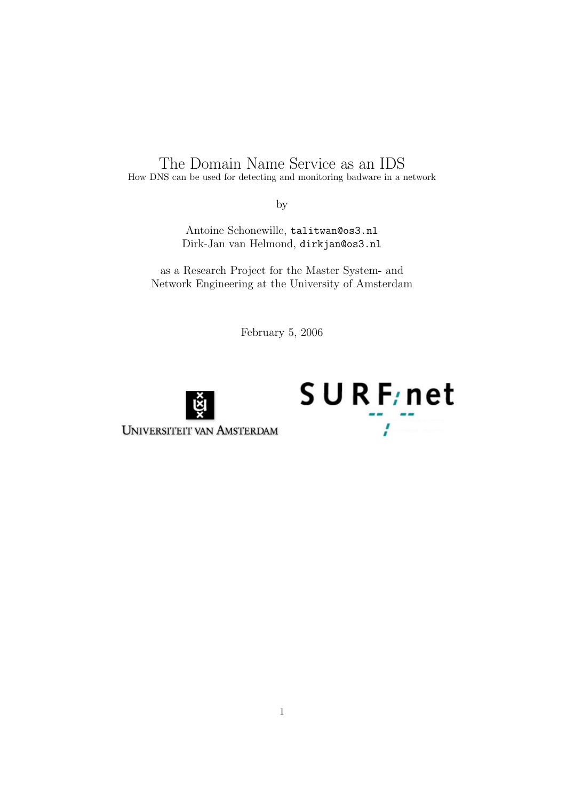# The Domain Name Service as an IDS How DNS can be used for detecting and monitoring badware in a network

by

Antoine Schonewille, talitwan@os3.nl Dirk-Jan van Helmond, dirkjan@os3.nl

as a Research Project for the Master System- and Network Engineering at the University of Amsterdam

February 5, 2006





**UNIVERSITEIT VAN AMSTERDAM**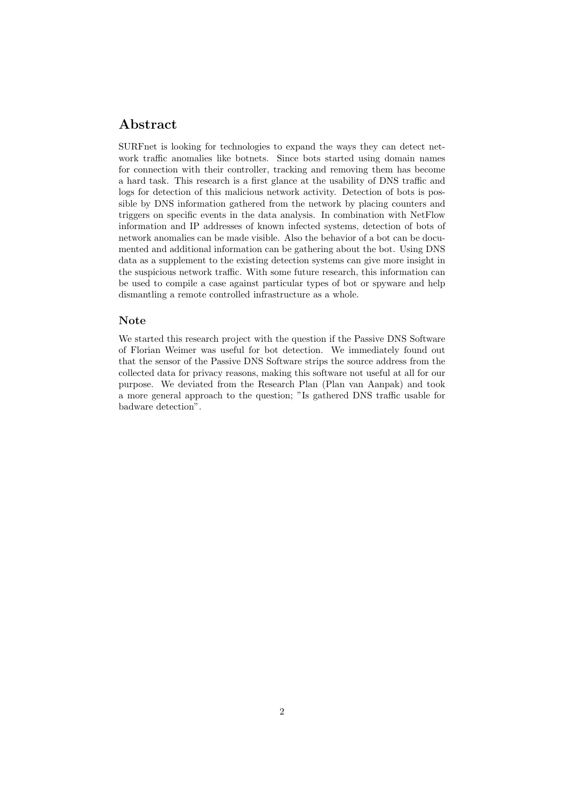### Abstract

SURFnet is looking for technologies to expand the ways they can detect network traffic anomalies like botnets. Since bots started using domain names for connection with their controller, tracking and removing them has become a hard task. This research is a first glance at the usability of DNS traffic and logs for detection of this malicious network activity. Detection of bots is possible by DNS information gathered from the network by placing counters and triggers on specific events in the data analysis. In combination with NetFlow information and IP addresses of known infected systems, detection of bots of network anomalies can be made visible. Also the behavior of a bot can be documented and additional information can be gathering about the bot. Using DNS data as a supplement to the existing detection systems can give more insight in the suspicious network traffic. With some future research, this information can be used to compile a case against particular types of bot or spyware and help dismantling a remote controlled infrastructure as a whole.

#### Note

We started this research project with the question if the Passive DNS Software of Florian Weimer was useful for bot detection. We immediately found out that the sensor of the Passive DNS Software strips the source address from the collected data for privacy reasons, making this software not useful at all for our purpose. We deviated from the Research Plan (Plan van Aanpak) and took a more general approach to the question; "Is gathered DNS traffic usable for badware detection".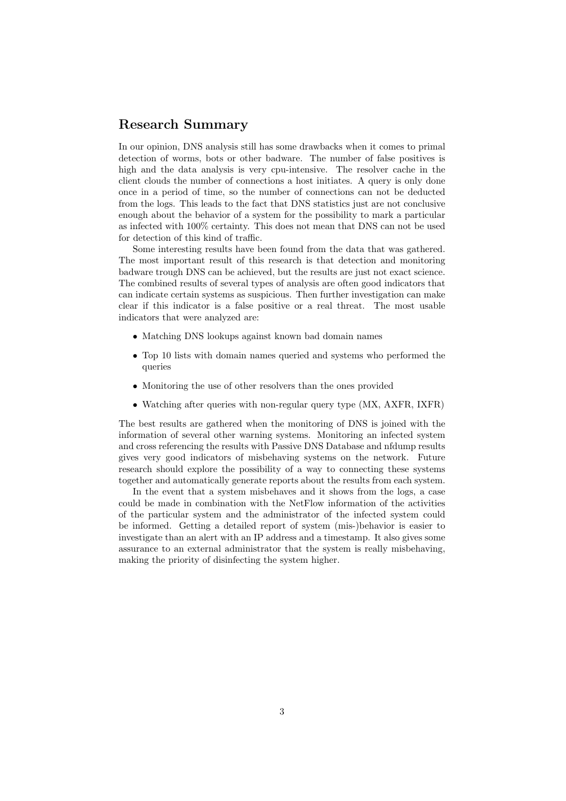### Research Summary

In our opinion, DNS analysis still has some drawbacks when it comes to primal detection of worms, bots or other badware. The number of false positives is high and the data analysis is very cpu-intensive. The resolver cache in the client clouds the number of connections a host initiates. A query is only done once in a period of time, so the number of connections can not be deducted from the logs. This leads to the fact that DNS statistics just are not conclusive enough about the behavior of a system for the possibility to mark a particular as infected with 100% certainty. This does not mean that DNS can not be used for detection of this kind of traffic.

Some interesting results have been found from the data that was gathered. The most important result of this research is that detection and monitoring badware trough DNS can be achieved, but the results are just not exact science. The combined results of several types of analysis are often good indicators that can indicate certain systems as suspicious. Then further investigation can make clear if this indicator is a false positive or a real threat. The most usable indicators that were analyzed are:

- Matching DNS lookups against known bad domain names
- Top 10 lists with domain names queried and systems who performed the queries
- Monitoring the use of other resolvers than the ones provided
- Watching after queries with non-regular query type (MX, AXFR, IXFR)

The best results are gathered when the monitoring of DNS is joined with the information of several other warning systems. Monitoring an infected system and cross referencing the results with Passive DNS Database and nfdump results gives very good indicators of misbehaving systems on the network. Future research should explore the possibility of a way to connecting these systems together and automatically generate reports about the results from each system.

In the event that a system misbehaves and it shows from the logs, a case could be made in combination with the NetFlow information of the activities of the particular system and the administrator of the infected system could be informed. Getting a detailed report of system (mis-)behavior is easier to investigate than an alert with an IP address and a timestamp. It also gives some assurance to an external administrator that the system is really misbehaving, making the priority of disinfecting the system higher.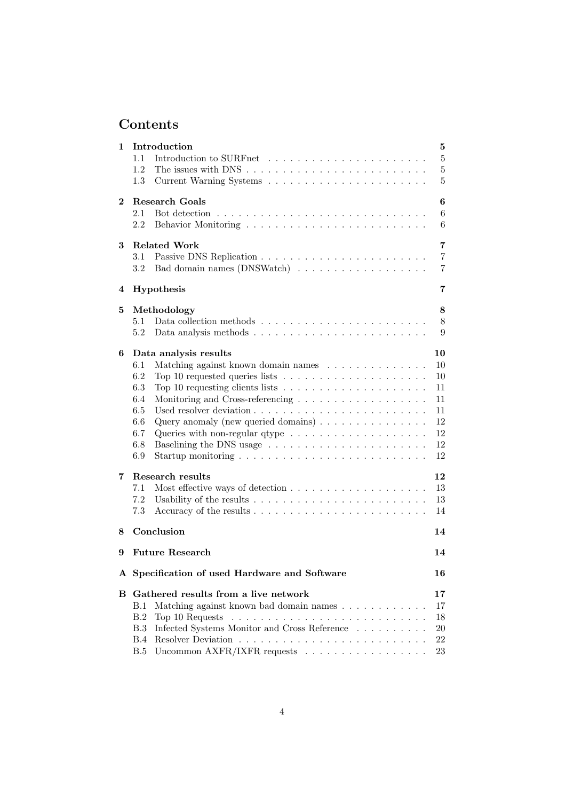# Contents

| 1        | Introduction                                                                               | $\bf{5}$       |
|----------|--------------------------------------------------------------------------------------------|----------------|
|          | 1.1                                                                                        | $\overline{5}$ |
|          | 1.2                                                                                        | $\overline{5}$ |
|          | 1.3                                                                                        | 5              |
| $\bf{2}$ | Research Goals                                                                             | 6              |
|          | Bot detection $\ldots \ldots \ldots \ldots \ldots \ldots \ldots \ldots \ldots$<br>2.1      | 6              |
|          | 2.2                                                                                        | 6              |
| 3        | <b>Related Work</b>                                                                        | $\overline{7}$ |
|          | 3.1                                                                                        | $\overline{7}$ |
|          | 3.2                                                                                        | $\overline{7}$ |
| 4        | Hypothesis                                                                                 | 7              |
| 5        | Methodology                                                                                | 8              |
|          | 5.1                                                                                        | 8              |
|          | 5.2                                                                                        | 9              |
| 6        | Data analysis results                                                                      | 10             |
|          | 6.1<br>Matching against known domain names                                                 | 10             |
|          | 6.2<br>Top 10 requested queries lists $\ldots \ldots \ldots \ldots \ldots \ldots$          | 10             |
|          | 6.3<br>Top 10 requesting clients lists $\ldots \ldots \ldots \ldots \ldots \ldots$         | 11             |
|          | 6.4                                                                                        | 11             |
|          | 6.5                                                                                        | 11             |
|          | Query anomaly (new queried domains) $\dots \dots \dots \dots \dots$<br>6.6                 | 12             |
|          | 6.7<br>Queries with non-regular qtype $\dots \dots \dots \dots \dots \dots \dots$          | 12             |
|          | 6.8                                                                                        | 12             |
|          | 6.9                                                                                        | 12             |
| 7        | Research results                                                                           | 12             |
|          | 7.1                                                                                        | 13             |
|          | 7.2                                                                                        | 13             |
|          | 7.3                                                                                        | 14             |
| 8        | Conclusion                                                                                 | 14             |
| 9        | <b>Future Research</b>                                                                     | 14             |
|          | A Specification of used Hardware and Software                                              | 16             |
|          | <b>B</b> Gathered results from a live network                                              | 17             |
|          | Matching against known bad domain names<br><b>B.1</b>                                      | 17             |
|          | Top 10 Requests $\dots \dots \dots \dots \dots \dots \dots \dots \dots \dots \dots$<br>B.2 | 18             |
|          | Infected Systems Monitor and Cross Reference<br>B.3                                        | 20             |
|          | B.4                                                                                        | 22             |
|          | Uncommon AXFR/IXFR requests $\ldots \ldots \ldots \ldots \ldots \ldots$<br>B.5             | 23             |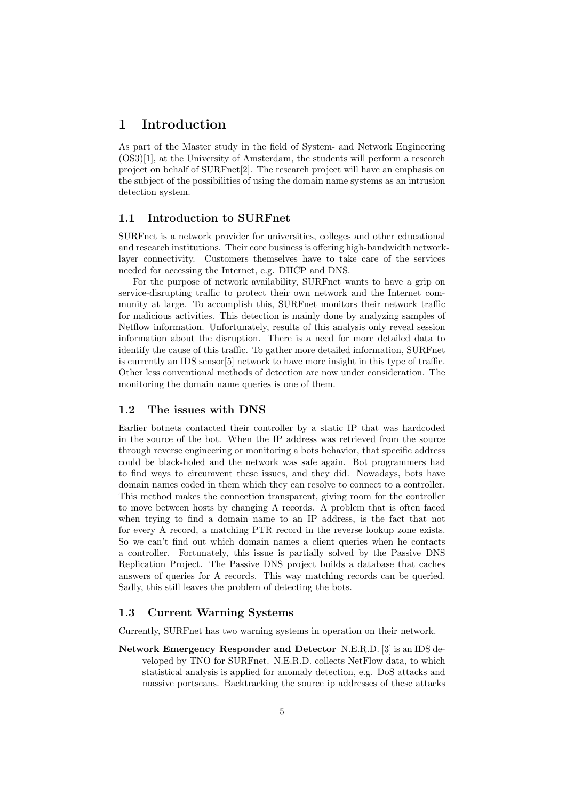### 1 Introduction

As part of the Master study in the field of System- and Network Engineering (OS3)[1], at the University of Amsterdam, the students will perform a research project on behalf of SURFnet[2]. The research project will have an emphasis on the subject of the possibilities of using the domain name systems as an intrusion detection system.

#### 1.1 Introduction to SURFnet

SURFnet is a network provider for universities, colleges and other educational and research institutions. Their core business is offering high-bandwidth networklayer connectivity. Customers themselves have to take care of the services needed for accessing the Internet, e.g. DHCP and DNS.

For the purpose of network availability, SURFnet wants to have a grip on service-disrupting traffic to protect their own network and the Internet community at large. To accomplish this, SURFnet monitors their network traffic for malicious activities. This detection is mainly done by analyzing samples of Netflow information. Unfortunately, results of this analysis only reveal session information about the disruption. There is a need for more detailed data to identify the cause of this traffic. To gather more detailed information, SURFnet is currently an IDS sensor[5] network to have more insight in this type of traffic. Other less conventional methods of detection are now under consideration. The monitoring the domain name queries is one of them.

#### 1.2 The issues with DNS

Earlier botnets contacted their controller by a static IP that was hardcoded in the source of the bot. When the IP address was retrieved from the source through reverse engineering or monitoring a bots behavior, that specific address could be black-holed and the network was safe again. Bot programmers had to find ways to circumvent these issues, and they did. Nowadays, bots have domain names coded in them which they can resolve to connect to a controller. This method makes the connection transparent, giving room for the controller to move between hosts by changing A records. A problem that is often faced when trying to find a domain name to an IP address, is the fact that not for every A record, a matching PTR record in the reverse lookup zone exists. So we can't find out which domain names a client queries when he contacts a controller. Fortunately, this issue is partially solved by the Passive DNS Replication Project. The Passive DNS project builds a database that caches answers of queries for A records. This way matching records can be queried. Sadly, this still leaves the problem of detecting the bots.

#### 1.3 Current Warning Systems

Currently, SURFnet has two warning systems in operation on their network.

Network Emergency Responder and Detector N.E.R.D. [3] is an IDS developed by TNO for SURFnet. N.E.R.D. collects NetFlow data, to which statistical analysis is applied for anomaly detection, e.g. DoS attacks and massive portscans. Backtracking the source ip addresses of these attacks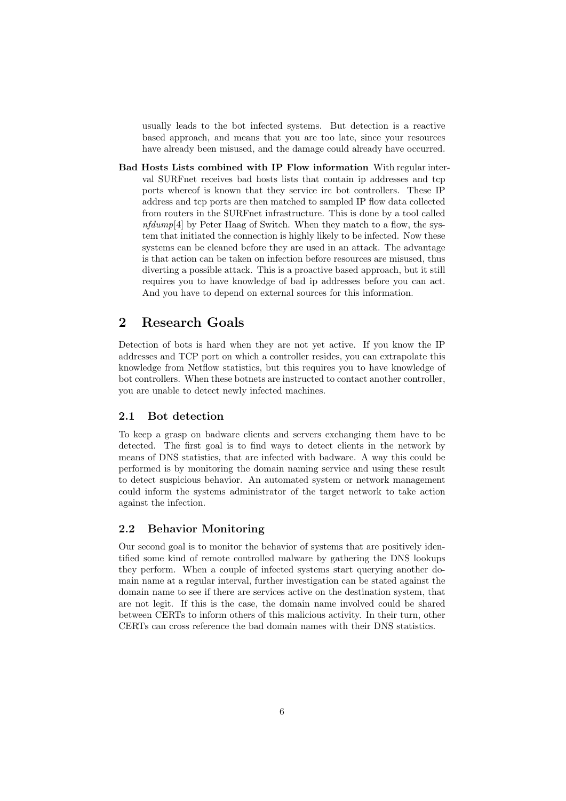usually leads to the bot infected systems. But detection is a reactive based approach, and means that you are too late, since your resources have already been misused, and the damage could already have occurred.

Bad Hosts Lists combined with IP Flow information With regular interval SURFnet receives bad hosts lists that contain ip addresses and tcp ports whereof is known that they service irc bot controllers. These IP address and tcp ports are then matched to sampled IP flow data collected from routers in the SURFnet infrastructure. This is done by a tool called  $nfdump[4]$  by Peter Haag of Switch. When they match to a flow, the system that initiated the connection is highly likely to be infected. Now these systems can be cleaned before they are used in an attack. The advantage is that action can be taken on infection before resources are misused, thus diverting a possible attack. This is a proactive based approach, but it still requires you to have knowledge of bad ip addresses before you can act. And you have to depend on external sources for this information.

## 2 Research Goals

Detection of bots is hard when they are not yet active. If you know the IP addresses and TCP port on which a controller resides, you can extrapolate this knowledge from Netflow statistics, but this requires you to have knowledge of bot controllers. When these botnets are instructed to contact another controller, you are unable to detect newly infected machines.

#### 2.1 Bot detection

To keep a grasp on badware clients and servers exchanging them have to be detected. The first goal is to find ways to detect clients in the network by means of DNS statistics, that are infected with badware. A way this could be performed is by monitoring the domain naming service and using these result to detect suspicious behavior. An automated system or network management could inform the systems administrator of the target network to take action against the infection.

#### 2.2 Behavior Monitoring

Our second goal is to monitor the behavior of systems that are positively identified some kind of remote controlled malware by gathering the DNS lookups they perform. When a couple of infected systems start querying another domain name at a regular interval, further investigation can be stated against the domain name to see if there are services active on the destination system, that are not legit. If this is the case, the domain name involved could be shared between CERTs to inform others of this malicious activity. In their turn, other CERTs can cross reference the bad domain names with their DNS statistics.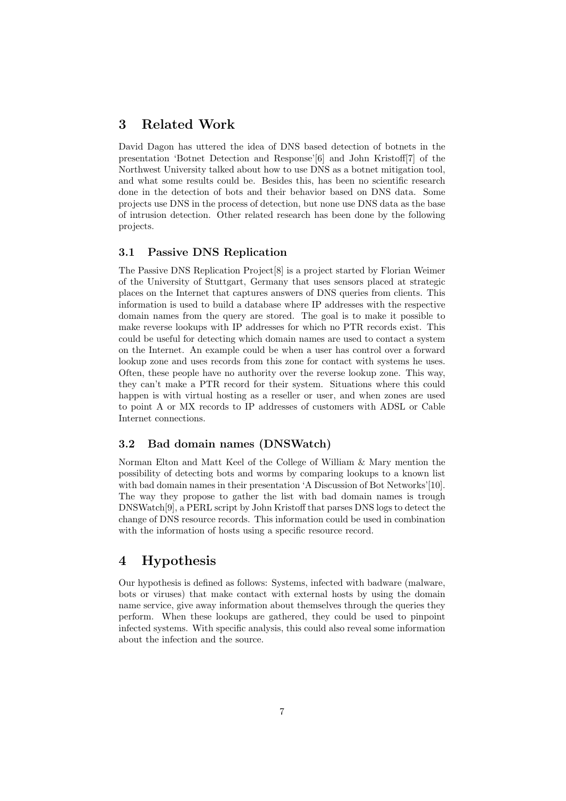### 3 Related Work

David Dagon has uttered the idea of DNS based detection of botnets in the presentation 'Botnet Detection and Response'[6] and John Kristoff[7] of the Northwest University talked about how to use DNS as a botnet mitigation tool, and what some results could be. Besides this, has been no scientific research done in the detection of bots and their behavior based on DNS data. Some projects use DNS in the process of detection, but none use DNS data as the base of intrusion detection. Other related research has been done by the following projects.

#### 3.1 Passive DNS Replication

The Passive DNS Replication Project[8] is a project started by Florian Weimer of the University of Stuttgart, Germany that uses sensors placed at strategic places on the Internet that captures answers of DNS queries from clients. This information is used to build a database where IP addresses with the respective domain names from the query are stored. The goal is to make it possible to make reverse lookups with IP addresses for which no PTR records exist. This could be useful for detecting which domain names are used to contact a system on the Internet. An example could be when a user has control over a forward lookup zone and uses records from this zone for contact with systems he uses. Often, these people have no authority over the reverse lookup zone. This way, they can't make a PTR record for their system. Situations where this could happen is with virtual hosting as a reseller or user, and when zones are used to point A or MX records to IP addresses of customers with ADSL or Cable Internet connections.

#### 3.2 Bad domain names (DNSWatch)

Norman Elton and Matt Keel of the College of William & Mary mention the possibility of detecting bots and worms by comparing lookups to a known list with bad domain names in their presentation 'A Discussion of Bot Networks'[10]. The way they propose to gather the list with bad domain names is trough DNSWatch[9], a PERL script by John Kristoff that parses DNS logs to detect the change of DNS resource records. This information could be used in combination with the information of hosts using a specific resource record.

### 4 Hypothesis

Our hypothesis is defined as follows: Systems, infected with badware (malware, bots or viruses) that make contact with external hosts by using the domain name service, give away information about themselves through the queries they perform. When these lookups are gathered, they could be used to pinpoint infected systems. With specific analysis, this could also reveal some information about the infection and the source.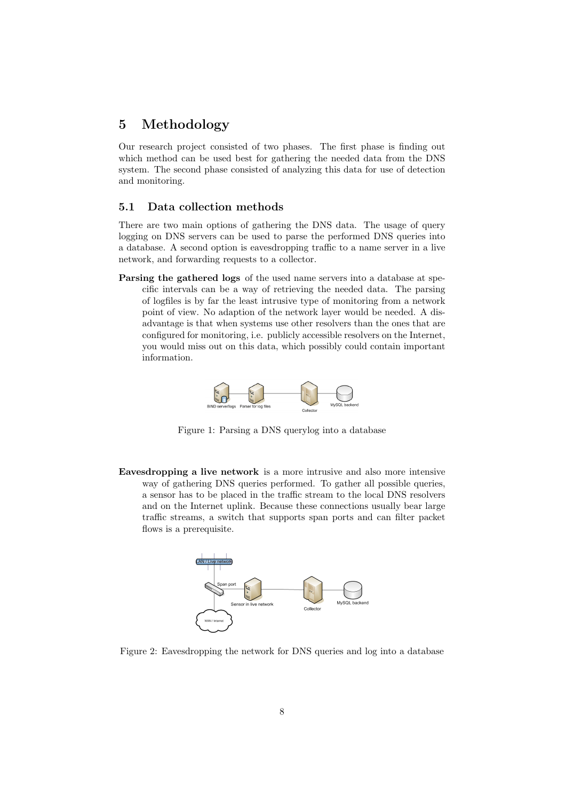### 5 Methodology

Our research project consisted of two phases. The first phase is finding out which method can be used best for gathering the needed data from the DNS system. The second phase consisted of analyzing this data for use of detection and monitoring.

#### 5.1 Data collection methods

There are two main options of gathering the DNS data. The usage of query logging on DNS servers can be used to parse the performed DNS queries into a database. A second option is eavesdropping traffic to a name server in a live network, and forwarding requests to a collector.

Parsing the gathered logs of the used name servers into a database at specific intervals can be a way of retrieving the needed data. The parsing of logfiles is by far the least intrusive type of monitoring from a network point of view. No adaption of the network layer would be needed. A disadvantage is that when systems use other resolvers than the ones that are configured for monitoring, i.e. publicly accessible resolvers on the Internet, you would miss out on this data, which possibly could contain important information.



Figure 1: Parsing a DNS querylog into a database

Eavesdropping a live network is a more intrusive and also more intensive way of gathering DNS queries performed. To gather all possible queries, a sensor has to be placed in the traffic stream to the local DNS resolvers and on the Internet uplink. Because these connections usually bear large traffic streams, a switch that supports span ports and can filter packet flows is a prerequisite.



Figure 2: Eavesdropping the network for DNS queries and log into a database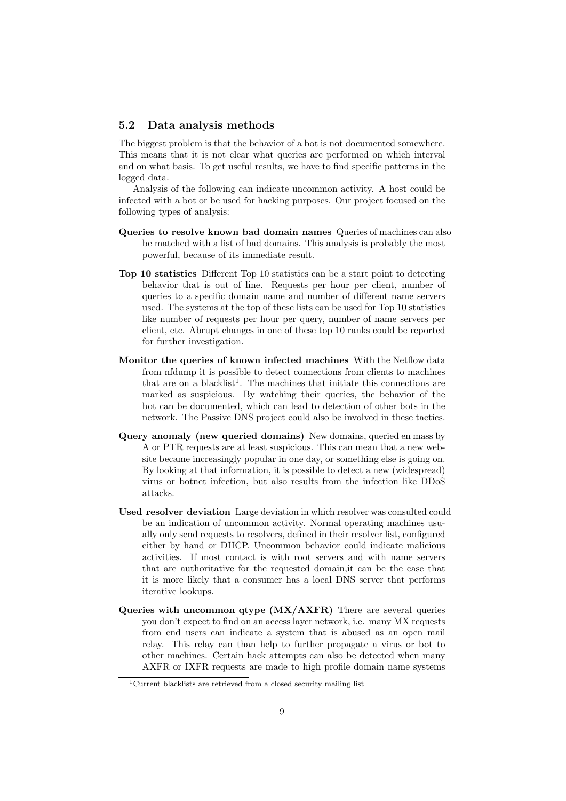#### 5.2 Data analysis methods

The biggest problem is that the behavior of a bot is not documented somewhere. This means that it is not clear what queries are performed on which interval and on what basis. To get useful results, we have to find specific patterns in the logged data.

Analysis of the following can indicate uncommon activity. A host could be infected with a bot or be used for hacking purposes. Our project focused on the following types of analysis:

- Queries to resolve known bad domain names Queries of machines can also be matched with a list of bad domains. This analysis is probably the most powerful, because of its immediate result.
- Top 10 statistics Different Top 10 statistics can be a start point to detecting behavior that is out of line. Requests per hour per client, number of queries to a specific domain name and number of different name servers used. The systems at the top of these lists can be used for Top 10 statistics like number of requests per hour per query, number of name servers per client, etc. Abrupt changes in one of these top 10 ranks could be reported for further investigation.
- Monitor the queries of known infected machines With the Netflow data from nfdump it is possible to detect connections from clients to machines that are on a blacklist<sup>1</sup>. The machines that initiate this connections are marked as suspicious. By watching their queries, the behavior of the bot can be documented, which can lead to detection of other bots in the network. The Passive DNS project could also be involved in these tactics.
- Query anomaly (new queried domains) New domains, queried en mass by A or PTR requests are at least suspicious. This can mean that a new website became increasingly popular in one day, or something else is going on. By looking at that information, it is possible to detect a new (widespread) virus or botnet infection, but also results from the infection like DDoS attacks.
- Used resolver deviation Large deviation in which resolver was consulted could be an indication of uncommon activity. Normal operating machines usually only send requests to resolvers, defined in their resolver list, configured either by hand or DHCP. Uncommon behavior could indicate malicious activities. If most contact is with root servers and with name servers that are authoritative for the requested domain,it can be the case that it is more likely that a consumer has a local DNS server that performs iterative lookups.
- Queries with uncommon qtype (MX/AXFR) There are several queries you don't expect to find on an access layer network, i.e. many MX requests from end users can indicate a system that is abused as an open mail relay. This relay can than help to further propagate a virus or bot to other machines. Certain hack attempts can also be detected when many AXFR or IXFR requests are made to high profile domain name systems

<sup>&</sup>lt;sup>1</sup>Current blacklists are retrieved from a closed security mailing list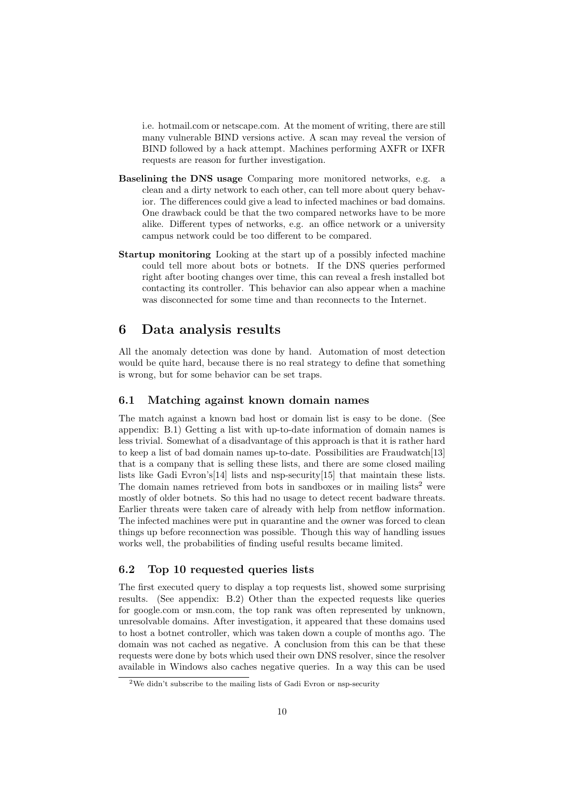i.e. hotmail.com or netscape.com. At the moment of writing, there are still many vulnerable BIND versions active. A scan may reveal the version of BIND followed by a hack attempt. Machines performing AXFR or IXFR requests are reason for further investigation.

- Baselining the DNS usage Comparing more monitored networks, e.g. a clean and a dirty network to each other, can tell more about query behavior. The differences could give a lead to infected machines or bad domains. One drawback could be that the two compared networks have to be more alike. Different types of networks, e.g. an office network or a university campus network could be too different to be compared.
- Startup monitoring Looking at the start up of a possibly infected machine could tell more about bots or botnets. If the DNS queries performed right after booting changes over time, this can reveal a fresh installed bot contacting its controller. This behavior can also appear when a machine was disconnected for some time and than reconnects to the Internet.

### 6 Data analysis results

All the anomaly detection was done by hand. Automation of most detection would be quite hard, because there is no real strategy to define that something is wrong, but for some behavior can be set traps.

#### 6.1 Matching against known domain names

The match against a known bad host or domain list is easy to be done. (See appendix: B.1) Getting a list with up-to-date information of domain names is less trivial. Somewhat of a disadvantage of this approach is that it is rather hard to keep a list of bad domain names up-to-date. Possibilities are Fraudwatch[13] that is a company that is selling these lists, and there are some closed mailing lists like Gadi Evron's[14] lists and nsp-security[15] that maintain these lists. The domain names retrieved from bots in sandboxes or in mailing lists<sup>2</sup> were mostly of older botnets. So this had no usage to detect recent badware threats. Earlier threats were taken care of already with help from netflow information. The infected machines were put in quarantine and the owner was forced to clean things up before reconnection was possible. Though this way of handling issues works well, the probabilities of finding useful results became limited.

#### 6.2 Top 10 requested queries lists

The first executed query to display a top requests list, showed some surprising results. (See appendix: B.2) Other than the expected requests like queries for google.com or msn.com, the top rank was often represented by unknown, unresolvable domains. After investigation, it appeared that these domains used to host a botnet controller, which was taken down a couple of months ago. The domain was not cached as negative. A conclusion from this can be that these requests were done by bots which used their own DNS resolver, since the resolver available in Windows also caches negative queries. In a way this can be used

<sup>&</sup>lt;sup>2</sup>We didn't subscribe to the mailing lists of Gadi Evron or nsp-security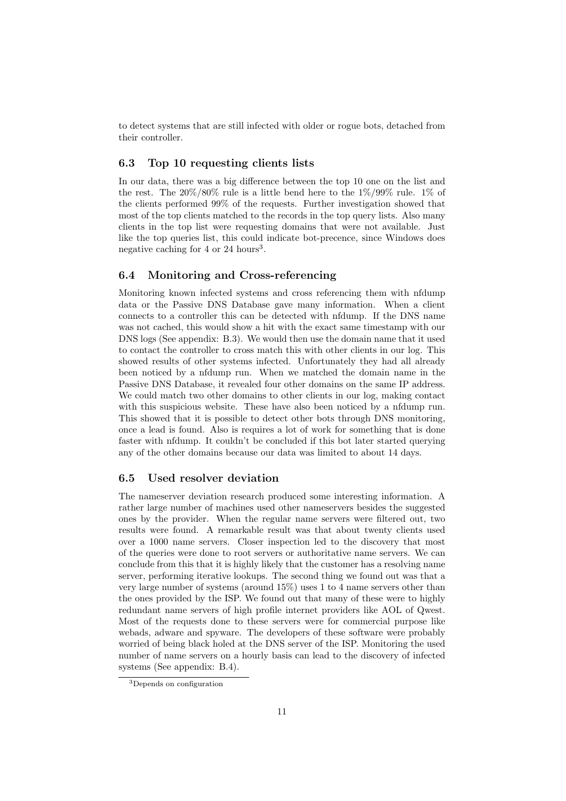to detect systems that are still infected with older or rogue bots, detached from their controller.

#### 6.3 Top 10 requesting clients lists

In our data, there was a big difference between the top 10 one on the list and the rest. The  $20\%/80\%$  rule is a little bend here to the  $1\%/99\%$  rule. 1% of the clients performed 99% of the requests. Further investigation showed that most of the top clients matched to the records in the top query lists. Also many clients in the top list were requesting domains that were not available. Just like the top queries list, this could indicate bot-precence, since Windows does negative caching for  $4 \text{ or } 24 \text{ hours}^3$ .

#### 6.4 Monitoring and Cross-referencing

Monitoring known infected systems and cross referencing them with nfdump data or the Passive DNS Database gave many information. When a client connects to a controller this can be detected with nfdump. If the DNS name was not cached, this would show a hit with the exact same timestamp with our DNS logs (See appendix: B.3). We would then use the domain name that it used to contact the controller to cross match this with other clients in our log. This showed results of other systems infected. Unfortunately they had all already been noticed by a nfdump run. When we matched the domain name in the Passive DNS Database, it revealed four other domains on the same IP address. We could match two other domains to other clients in our log, making contact with this suspicious website. These have also been noticed by a nfdump run. This showed that it is possible to detect other bots through DNS monitoring, once a lead is found. Also is requires a lot of work for something that is done faster with nfdump. It couldn't be concluded if this bot later started querying any of the other domains because our data was limited to about 14 days.

#### 6.5 Used resolver deviation

The nameserver deviation research produced some interesting information. A rather large number of machines used other nameservers besides the suggested ones by the provider. When the regular name servers were filtered out, two results were found. A remarkable result was that about twenty clients used over a 1000 name servers. Closer inspection led to the discovery that most of the queries were done to root servers or authoritative name servers. We can conclude from this that it is highly likely that the customer has a resolving name server, performing iterative lookups. The second thing we found out was that a very large number of systems (around 15%) uses 1 to 4 name servers other than the ones provided by the ISP. We found out that many of these were to highly redundant name servers of high profile internet providers like AOL of Qwest. Most of the requests done to these servers were for commercial purpose like webads, adware and spyware. The developers of these software were probably worried of being black holed at the DNS server of the ISP. Monitoring the used number of name servers on a hourly basis can lead to the discovery of infected systems (See appendix: B.4).

<sup>3</sup>Depends on configuration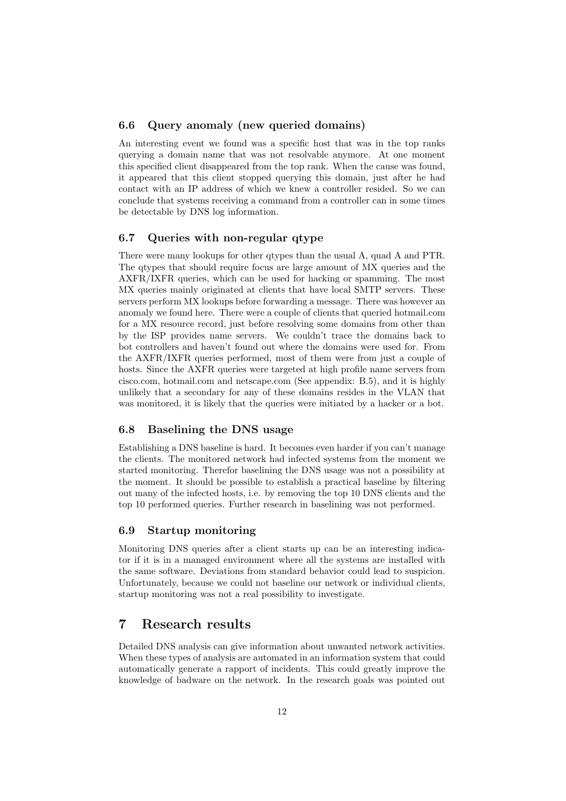#### 6.6 Query anomaly (new queried domains)

An interesting event we found was a specific host that was in the top ranks querying a domain name that was not resolvable anymore. At one moment this specified client disappeared from the top rank. When the cause was found, it appeared that this client stopped querying this domain, just after he had contact with an IP address of which we knew a controller resided. So we can conclude that systems receiving a command from a controller can in some times be detectable by DNS log information.

#### 6.7 Queries with non-regular qtype

There were many lookups for other qtypes than the usual A, quad A and PTR. The qtypes that should require focus are large amount of MX queries and the AXFR/IXFR queries, which can be used for hacking or spamming. The most MX queries mainly originated at clients that have local SMTP servers. These servers perform MX lookups before forwarding a message. There was however an anomaly we found here. There were a couple of clients that queried hotmail.com for a MX resource record, just before resolving some domains from other than by the ISP provides name servers. We couldn't trace the domains back to bot controllers and haven't found out where the domains were used for. From the AXFR/IXFR queries performed, most of them were from just a couple of hosts. Since the AXFR queries were targeted at high profile name servers from cisco.com, hotmail.com and netscape.com (See appendix: B.5), and it is highly unlikely that a secondary for any of these domains resides in the VLAN that was monitored, it is likely that the queries were initiated by a hacker or a bot.

#### 6.8 Baselining the DNS usage

Establishing a DNS baseline is hard. It becomes even harder if you can't manage the clients. The monitored network had infected systems from the moment we started monitoring. Therefor baselining the DNS usage was not a possibility at the moment. It should be possible to establish a practical baseline by filtering out many of the infected hosts, i.e. by removing the top 10 DNS clients and the top 10 performed queries. Further research in baselining was not performed.

#### 6.9 Startup monitoring

Monitoring DNS queries after a client starts up can be an interesting indicator if it is in a managed environment where all the systems are installed with the same software. Deviations from standard behavior could lead to suspicion. Unfortunately, because we could not baseline our network or individual clients, startup monitoring was not a real possibility to investigate.

### 7 Research results

Detailed DNS analysis can give information about unwanted network activities. When these types of analysis are automated in an information system that could automatically generate a rapport of incidents. This could greatly improve the knowledge of badware on the network. In the research goals was pointed out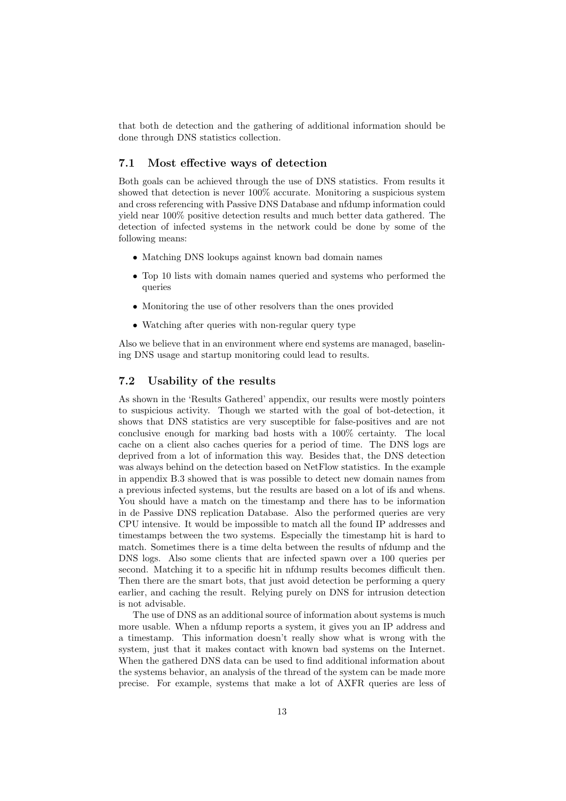that both de detection and the gathering of additional information should be done through DNS statistics collection.

#### 7.1 Most effective ways of detection

Both goals can be achieved through the use of DNS statistics. From results it showed that detection is never 100% accurate. Monitoring a suspicious system and cross referencing with Passive DNS Database and nfdump information could yield near 100% positive detection results and much better data gathered. The detection of infected systems in the network could be done by some of the following means:

- Matching DNS lookups against known bad domain names
- Top 10 lists with domain names queried and systems who performed the queries
- Monitoring the use of other resolvers than the ones provided
- Watching after queries with non-regular query type

Also we believe that in an environment where end systems are managed, baselining DNS usage and startup monitoring could lead to results.

#### 7.2 Usability of the results

As shown in the 'Results Gathered' appendix, our results were mostly pointers to suspicious activity. Though we started with the goal of bot-detection, it shows that DNS statistics are very susceptible for false-positives and are not conclusive enough for marking bad hosts with a 100% certainty. The local cache on a client also caches queries for a period of time. The DNS logs are deprived from a lot of information this way. Besides that, the DNS detection was always behind on the detection based on NetFlow statistics. In the example in appendix B.3 showed that is was possible to detect new domain names from a previous infected systems, but the results are based on a lot of ifs and whens. You should have a match on the timestamp and there has to be information in de Passive DNS replication Database. Also the performed queries are very CPU intensive. It would be impossible to match all the found IP addresses and timestamps between the two systems. Especially the timestamp hit is hard to match. Sometimes there is a time delta between the results of nfdump and the DNS logs. Also some clients that are infected spawn over a 100 queries per second. Matching it to a specific hit in nfdump results becomes difficult then. Then there are the smart bots, that just avoid detection be performing a query earlier, and caching the result. Relying purely on DNS for intrusion detection is not advisable.

The use of DNS as an additional source of information about systems is much more usable. When a nfdump reports a system, it gives you an IP address and a timestamp. This information doesn't really show what is wrong with the system, just that it makes contact with known bad systems on the Internet. When the gathered DNS data can be used to find additional information about the systems behavior, an analysis of the thread of the system can be made more precise. For example, systems that make a lot of AXFR queries are less of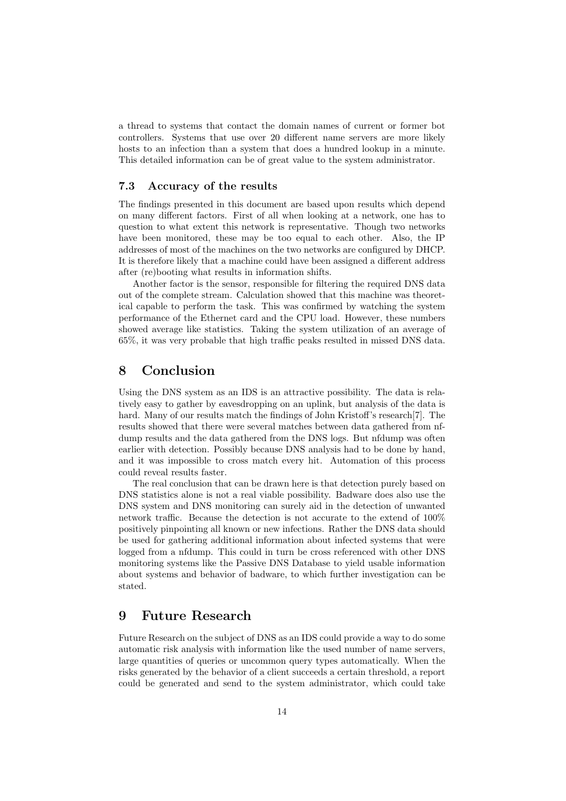a thread to systems that contact the domain names of current or former bot controllers. Systems that use over 20 different name servers are more likely hosts to an infection than a system that does a hundred lookup in a minute. This detailed information can be of great value to the system administrator.

#### 7.3 Accuracy of the results

The findings presented in this document are based upon results which depend on many different factors. First of all when looking at a network, one has to question to what extent this network is representative. Though two networks have been monitored, these may be too equal to each other. Also, the IP addresses of most of the machines on the two networks are configured by DHCP. It is therefore likely that a machine could have been assigned a different address after (re)booting what results in information shifts.

Another factor is the sensor, responsible for filtering the required DNS data out of the complete stream. Calculation showed that this machine was theoretical capable to perform the task. This was confirmed by watching the system performance of the Ethernet card and the CPU load. However, these numbers showed average like statistics. Taking the system utilization of an average of 65%, it was very probable that high traffic peaks resulted in missed DNS data.

### 8 Conclusion

Using the DNS system as an IDS is an attractive possibility. The data is relatively easy to gather by eavesdropping on an uplink, but analysis of the data is hard. Many of our results match the findings of John Kristoff's research<sup>[7]</sup>. The results showed that there were several matches between data gathered from nfdump results and the data gathered from the DNS logs. But nfdump was often earlier with detection. Possibly because DNS analysis had to be done by hand, and it was impossible to cross match every hit. Automation of this process could reveal results faster.

The real conclusion that can be drawn here is that detection purely based on DNS statistics alone is not a real viable possibility. Badware does also use the DNS system and DNS monitoring can surely aid in the detection of unwanted network traffic. Because the detection is not accurate to the extend of 100% positively pinpointing all known or new infections. Rather the DNS data should be used for gathering additional information about infected systems that were logged from a nfdump. This could in turn be cross referenced with other DNS monitoring systems like the Passive DNS Database to yield usable information about systems and behavior of badware, to which further investigation can be stated.

### 9 Future Research

Future Research on the subject of DNS as an IDS could provide a way to do some automatic risk analysis with information like the used number of name servers, large quantities of queries or uncommon query types automatically. When the risks generated by the behavior of a client succeeds a certain threshold, a report could be generated and send to the system administrator, which could take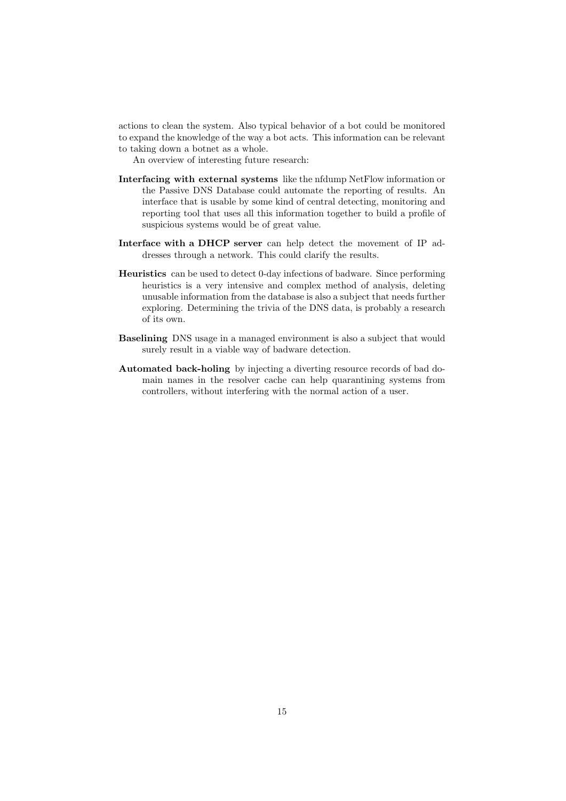actions to clean the system. Also typical behavior of a bot could be monitored to expand the knowledge of the way a bot acts. This information can be relevant to taking down a botnet as a whole.

An overview of interesting future research:

- Interfacing with external systems like the nfdump NetFlow information or the Passive DNS Database could automate the reporting of results. An interface that is usable by some kind of central detecting, monitoring and reporting tool that uses all this information together to build a profile of suspicious systems would be of great value.
- Interface with a DHCP server can help detect the movement of IP addresses through a network. This could clarify the results.
- Heuristics can be used to detect 0-day infections of badware. Since performing heuristics is a very intensive and complex method of analysis, deleting unusable information from the database is also a subject that needs further exploring. Determining the trivia of the DNS data, is probably a research of its own.
- Baselining DNS usage in a managed environment is also a subject that would surely result in a viable way of badware detection.
- Automated back-holing by injecting a diverting resource records of bad domain names in the resolver cache can help quarantining systems from controllers, without interfering with the normal action of a user.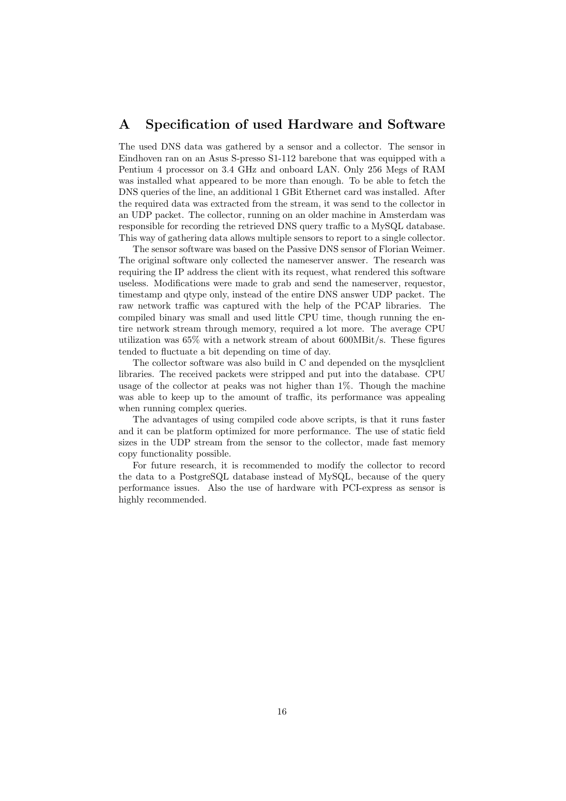# A Specification of used Hardware and Software

The used DNS data was gathered by a sensor and a collector. The sensor in Eindhoven ran on an Asus S-presso S1-112 barebone that was equipped with a Pentium 4 processor on 3.4 GHz and onboard LAN. Only 256 Megs of RAM was installed what appeared to be more than enough. To be able to fetch the DNS queries of the line, an additional 1 GBit Ethernet card was installed. After the required data was extracted from the stream, it was send to the collector in an UDP packet. The collector, running on an older machine in Amsterdam was responsible for recording the retrieved DNS query traffic to a MySQL database. This way of gathering data allows multiple sensors to report to a single collector.

The sensor software was based on the Passive DNS sensor of Florian Weimer. The original software only collected the nameserver answer. The research was requiring the IP address the client with its request, what rendered this software useless. Modifications were made to grab and send the nameserver, requestor, timestamp and qtype only, instead of the entire DNS answer UDP packet. The raw network traffic was captured with the help of the PCAP libraries. The compiled binary was small and used little CPU time, though running the entire network stream through memory, required a lot more. The average CPU utilization was 65% with a network stream of about 600MBit/s. These figures tended to fluctuate a bit depending on time of day.

The collector software was also build in C and depended on the mysqlclient libraries. The received packets were stripped and put into the database. CPU usage of the collector at peaks was not higher than 1%. Though the machine was able to keep up to the amount of traffic, its performance was appealing when running complex queries.

The advantages of using compiled code above scripts, is that it runs faster and it can be platform optimized for more performance. The use of static field sizes in the UDP stream from the sensor to the collector, made fast memory copy functionality possible.

For future research, it is recommended to modify the collector to record the data to a PostgreSQL database instead of MySQL, because of the query performance issues. Also the use of hardware with PCI-express as sensor is highly recommended.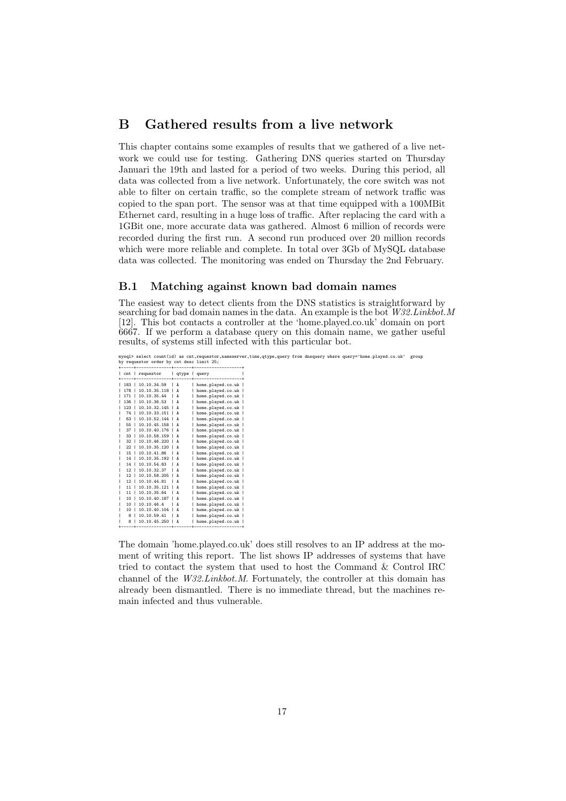### B Gathered results from a live network

This chapter contains some examples of results that we gathered of a live network we could use for testing. Gathering DNS queries started on Thursday Januari the 19th and lasted for a period of two weeks. During this period, all data was collected from a live network. Unfortunately, the core switch was not able to filter on certain traffic, so the complete stream of network traffic was copied to the span port. The sensor was at that time equipped with a 100MBit Ethernet card, resulting in a huge loss of traffic. After replacing the card with a 1GBit one, more accurate data was gathered. Almost 6 million of records were recorded during the first run. A second run produced over 20 million records which were more reliable and complete. In total over 3Gb of MySQL database data was collected. The monitoring was ended on Thursday the 2nd February.

#### B.1 Matching against known bad domain names

The easiest way to detect clients from the DNS statistics is straightforward by searching for bad domain names in the data. An example is the bot  $W32.Linkbot.M$ [12]. This bot contacts a controller at the 'home.played.co.uk' domain on port 6667. If we perform a database query on this domain name, we gather useful results, of systems still infected with this particular bot.

|     |                 | by requestor order by cnt desc limit 25; |                |                   | mysql> select count(id) as cnt, requestor, nameserver, time, qtype, query from dnsquery where query='home.played.co.uk' |  | group |
|-----|-----------------|------------------------------------------|----------------|-------------------|-------------------------------------------------------------------------------------------------------------------------|--|-------|
|     |                 |                                          |                |                   |                                                                                                                         |  |       |
|     |                 | cnt   requestor                          |                | qtype   query     |                                                                                                                         |  |       |
|     |                 |                                          |                |                   |                                                                                                                         |  |       |
|     |                 | 183   10.10.34.59                        | $\overline{A}$ | home.played.co.uk |                                                                                                                         |  |       |
| 178 |                 | $10.10.35.118$   A                       |                | home.played.co.uk |                                                                                                                         |  |       |
| 171 |                 | 10.10.35.44                              | ΙA             | home.played.co.uk |                                                                                                                         |  |       |
| 136 |                 | 110.10.36.53                             | $\overline{A}$ | home.played.co.uk |                                                                                                                         |  |       |
|     |                 | 123   10.10.32.145   A                   |                | home.played.co.uk |                                                                                                                         |  |       |
|     |                 | 74   10.10.33.151   A                    |                | home.played.co.uk |                                                                                                                         |  |       |
| 63  |                 | $10.10.52.144$   A                       |                | home.played.co.uk |                                                                                                                         |  |       |
|     |                 | 55   10.10.45.158   A                    |                | home.played.co.uk |                                                                                                                         |  |       |
| 37  |                 | 10.10.40.176   A                         |                | home.played.co.uk |                                                                                                                         |  |       |
|     | 33 <sub>1</sub> | $10.10.58.159$   A                       |                | home.played.co.uk |                                                                                                                         |  |       |
| 32  |                 | $10.10.46.220$   A                       |                | home.played.co.uk |                                                                                                                         |  |       |
| 22  |                 | 10.10.35.120                             | ΙA             | home.played.co.uk |                                                                                                                         |  |       |
|     |                 | 15   10.10.41.86                         | $\overline{A}$ | home.played.co.uk |                                                                                                                         |  |       |
|     | 14 <sub>1</sub> | $10.10.35.192$   A                       |                | home.played.co.uk |                                                                                                                         |  |       |
|     |                 | 14   10.10.54.83                         | $\overline{A}$ | home.played.co.uk |                                                                                                                         |  |       |
|     | $12-1$          | 10.10.32.37                              | I A            | home.played.co.uk |                                                                                                                         |  |       |
|     | $12-1$          | 10.10.58.205                             | $\overline{A}$ | home.played.co.uk |                                                                                                                         |  |       |
|     |                 | 12   10.10.44.81                         | $\overline{A}$ | home.played.co.uk |                                                                                                                         |  |       |
|     | 11 <sub>1</sub> | 10.10.35.121                             | ΙA             | home.played.co.uk |                                                                                                                         |  |       |
|     |                 | 11   10.10.35.64                         | $\overline{A}$ | home.played.co.uk |                                                                                                                         |  |       |
|     | $10-1$          | 10.10.40.187                             | ΙA             | home.played.co.uk |                                                                                                                         |  |       |
|     |                 | 10   10.10.46.4                          | I A            | home.played.co.uk |                                                                                                                         |  |       |
|     | 10 <sub>1</sub> | $10.10.40.104$   A                       |                | home.played.co.uk |                                                                                                                         |  |       |
|     | 8 <sub>1</sub>  | 10.10.59.41                              | $\overline{A}$ | home.played.co.uk |                                                                                                                         |  |       |
|     | 8 <sub>1</sub>  | 10.10.45.250   A                         |                | home.played.co.uk |                                                                                                                         |  |       |

The domain 'home.played.co.uk' does still resolves to an IP address at the moment of writing this report. The list shows IP addresses of systems that have tried to contact the system that used to host the Command & Control IRC channel of the W32.Linkbot.M. Fortunately, the controller at this domain has already been dismantled. There is no immediate thread, but the machines remain infected and thus vulnerable.

+-----+--------------+-------+-------------------+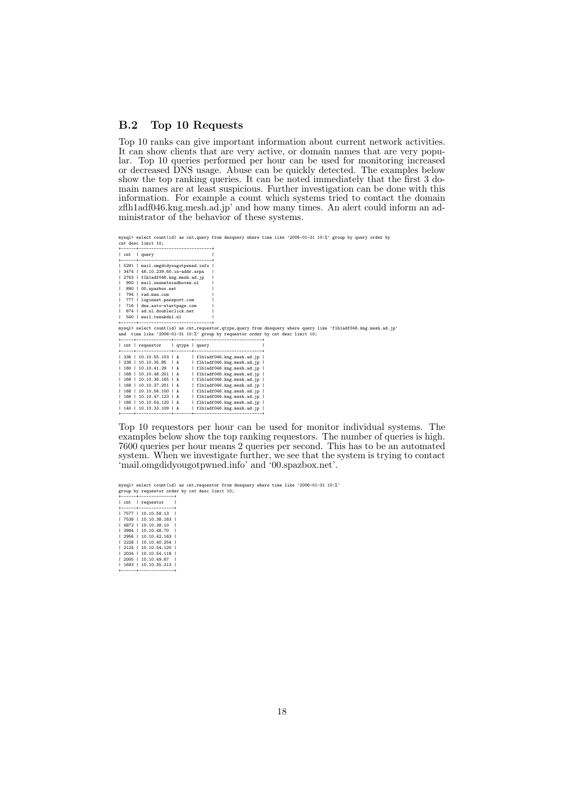#### B.2 Top 10 Requests

Top 10 ranks can give important information about current network activities. It can show clients that are very active, or domain names that are very popular. Top 10 queries performed per hour can be used for monitoring increased or decreased DNS usage. Abuse can be quickly detected. The examples below show the top ranking queries. It can be noted immediately that the first 3 domain names are at least suspicious. Further investigation can be done with this information. For example a count which systems tried to contact the domain zflh1adf046.kng.mesh.ad.jp' and how many times. An alert could inform an administrator of the behavior of these systems.

mysql> select count(id) as cnt,query from dnsquery where time like '2006-01-31 10:%' group by query order by cnt desc limit 10; +------+-----------------------------+

| query<br>l cnt                                                                 |                                                                                                                 |
|--------------------------------------------------------------------------------|-----------------------------------------------------------------------------------------------------------------|
| ---------------------------------                                              |                                                                                                                 |
| 5291   mail.omgdidyougotpwned.info                                             |                                                                                                                 |
| 3474   46.10.239.60.in-addr.arpa                                               |                                                                                                                 |
| 2763   flh1adf046.kng.mesh.ad.jp                                               |                                                                                                                 |
| 900   mail.onsneteindhoven.nl                                                  |                                                                                                                 |
| 890   00.spazbox.net                                                           |                                                                                                                 |
| 794   rad.msn.com                                                              |                                                                                                                 |
| 777   loginnet.passport.com                                                    |                                                                                                                 |
| 716   dns.auto-startpage.com                                                   |                                                                                                                 |
| 674   ad.nl.doubleclick.net                                                    |                                                                                                                 |
| 540   mail.tweakdsl.nl                                                         |                                                                                                                 |
| -------------------------------                                                |                                                                                                                 |
|                                                                                | mysql> select count(id) as cnt,requestor,qtype,query from dnsquery where query like 'flh1adf046.kng.mesh.ad.jp' |
| and time like '2006-01-31 10:"; group by requestor order by cnt desc limit 10; |                                                                                                                 |
|                                                                                |                                                                                                                 |
|                                                                                |                                                                                                                 |
| cnt   requestor   qtype   query                                                |                                                                                                                 |
|                                                                                |                                                                                                                 |
| $1$ 336 $1$ 10.10.55.103 $1$ A<br>  flh1adf046.kng.mesh.ad.jp                  |                                                                                                                 |
| 238   10.10.35.85   A<br>  flh1adf046.kng.mesh.ad.jp                           |                                                                                                                 |
| flh1adf046.kng.mesh.ad.jp  <br>180   10.10.41.29   A                           |                                                                                                                 |
| 168   10.10.48.201   A<br>  flh1adf046.kng.mesh.ad.jp                          |                                                                                                                 |
| 168   10.10.36.165   A<br>  flh1adf046.kng.mesh.ad.jp                          |                                                                                                                 |
| 168   10.10.37.201   A<br>flh1adf046.kng.mesh.ad.ip                            |                                                                                                                 |
| 168   10.10.56.100   A<br>  flh1adf046.kng.mesh.ad.jp                          |                                                                                                                 |
| 168   10.10.47.123   A<br>  flh1adf046.kng.mesh.ad.jp                          |                                                                                                                 |
| 168   10.10.54.120   A<br>  flh1adf046.kng.mesh.ad.jp                          |                                                                                                                 |
| flh1adf046.kng.mesh.ad.jp  <br>140   10.10.33.109   A                          |                                                                                                                 |

Top 10 requestors per hour can be used for monitor individual systems. The examples below show the top ranking requestors. The number of queries is high. 7600 queries per hour means 2 queries per second. This has to be an automated system. When we investigate further, we see that the system is trying to contact 'mail.omgdidyougotpwned.info' and '00.spazbox.net'.

mysql> select count(id) as cnt,requestor from dnsquery where time like '2006-01-31 10:%' group by requestor order by cnt desc limit 10;

+------+--------------+ | cnt | requestor | +------+--------------+ | 7577 | 10.10.58.13 | | 7538 | 10.10.38.163 | | 4872 | 10.10.38.10 | | 3984 | 10.10.48.70 |

|  | 2956   10.10.42.163        |  |
|--|----------------------------|--|
|  | 2228   10.10.40.254        |  |
|  | 2124   10.10.54.120        |  |
|  | 2034   10.10.54.118        |  |
|  | $1,2005$ $1,10.10.49.67$ 1 |  |
|  | 1693   10.10.35.213        |  |

| 1693 | 10.10.35.213 | +------+--------------+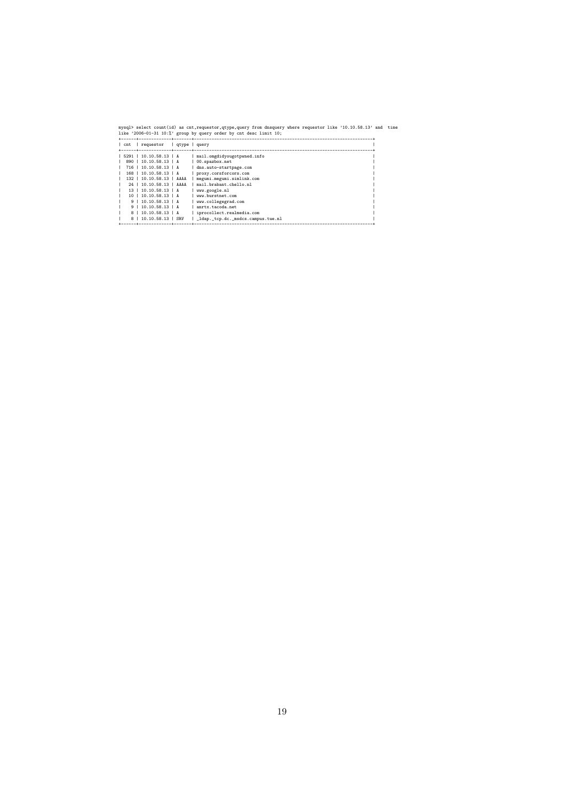| mysql> select count(id) as cnt,requestor,qtype,query from dnsquery where requestor like '10.10.58.13' and time<br>like '2006-01-31 10:%' group by query order by cnt desc limit 10; |  |
|-------------------------------------------------------------------------------------------------------------------------------------------------------------------------------------|--|
| cnt   requestor   qtype   query                                                                                                                                                     |  |
| $1$ 5291   10.10.58.13   A<br>  mail.omgdidyougotpwned.info                                                                                                                         |  |
| 890   10.10.58.13   A<br>00.spazbox.net                                                                                                                                             |  |
| 716   10.10.58.13   A<br>dns.auto-startpage.com                                                                                                                                     |  |
| 168   10.10.58.13   A<br>proxy.corsforcors.com                                                                                                                                      |  |
| 132   10.10.58.13   AAAA<br>  megumi.megumi.simlink.com                                                                                                                             |  |
| 24   10.10.58.13   AAAA<br>  mail.brabant.chello.nl                                                                                                                                 |  |
| 13   10.10.58.13   A<br>www.google.nl                                                                                                                                               |  |
| 10   10.10.58.13   A<br>www.burstnet.com                                                                                                                                            |  |
| 9   10.10.58.13   A<br>  www.collegegrad.com                                                                                                                                        |  |
| 9   10.10.58.13   A<br>anrtx.tacoda.net                                                                                                                                             |  |
| 8   10.10.58.13   A<br>  iprocollect.realmedia.com                                                                                                                                  |  |
| 8   10.10.58.13   SRV<br>  _ldap._tcp.dc._msdcs.campus.tue.nl                                                                                                                       |  |
|                                                                                                                                                                                     |  |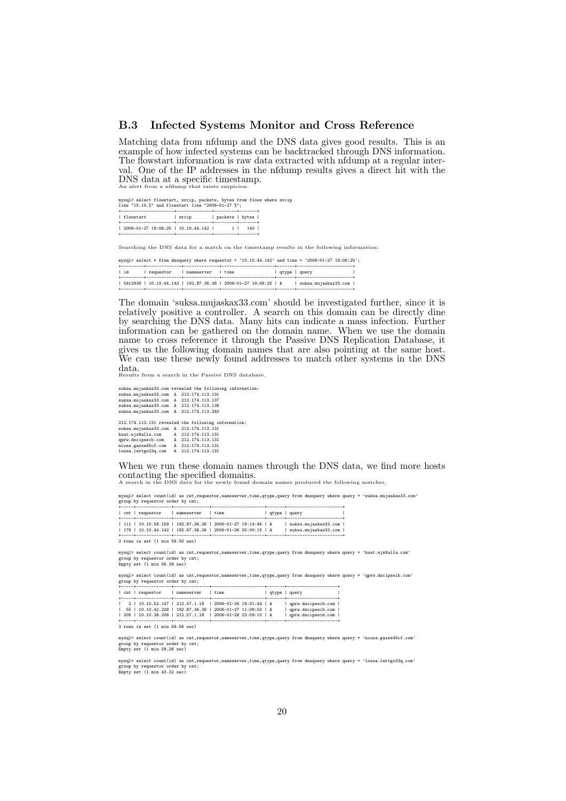#### B.3 Infected Systems Monitor and Cross Reference

Matching data from nfdump and the DNS data gives good results. This is an example of how infected systems can be backtracked through DNS information. The flowstart information is raw data extracted with nfdump at a regular interval. One of the IP addresses in the nfdump results gives a direct hit with the DNS data at a specific timestamp. An alert from a nfdump that raises suspicion.

mysql> select flowstart, srcip, packets, bytes from flows where srcip like "10.10.%" and flowstart like "2006-01-27 %"; +---------------------+--------------+---------+-------+ | flowstart | srcip | packets | bytes | +---------------------+--------------+---------+-------+ | 2006-01-27 19:06:25 | 10.10.44.142 | 1 | 140 | +---------------------+--------------+---------+-------+

Searching the DNS data for a match on the timestamp results in the following information:

mysql> select \* from dnsquery where requestor = '10.10.44.142' and time = '2006-01-27 19:06:25'; +---------+--------------+--------------+---------------------+-------+----------------------+ | id | requestor | nameserver | time | qtype | query | +---------+--------------+--------------+---------------------+-------+----------------------+ | 5812938 | 10.10.44.142 | 192.87.36.36 | 2006-01-27 19:06:25 | A | suksa.mujaskax33.com | +---------+--------------+--------------+---------------------+-------+----------------------+

The domain 'suksa.mujaskax33.com' should be investigated further, since it is relatively positive a controller. A search on this domain can be directly dine by searching the DNS data. Many hits can indicate a mass infection. Further information can be gathered on the domain name. When we use the domain name to cross reference it through the Passive DNS Replication Database, it gives us the following domain names that are also pointing at the same host. We can use these newly found addresses to match other systems in the DNS data.

Results from a search in the Passive DNS database.

suksa.mujaskax33.com revealed the following information: suksa.mujaskax33.com A 212.174.113.131 suksa.mujaskax33.com A 212.174.113.137 suksa.mujaskax33.com A 212.174.113.138 suksa.mujaskax33.com A 212.174.113.240 212.174.113.131 revealed the following information:

suksa.mujaskax33.com A 212.174.113.131 huat.njs8alla.com A 212.174.113.131 qprw.dscipseib.com A 212.174.113.131 ncusa.gaxxe45cf.com A 212.174.113.131 lossa.lertgo23q.com A 212.174.113.131

When we run these domain names through the DNS data, we find more hosts contacting the specified domains. A search in the DNS data for the newly found domain names produced the following matches.

mysql> select count(id) as cnt,requestor,nameserver,time,qtype,query from dnsquery where query = 'suksa.mujaskax33.com' .<br>up by requestor order by cnt;

| cnt   requestor   nameserver   time                  |                                                             | qtype   query |                      |
|------------------------------------------------------|-------------------------------------------------------------|---------------|----------------------|
|                                                      |                                                             |               |                      |
|                                                      | 111   10.10.58.159   192.87.36.36   2006-01-27 19:14:46   A |               | suksa.mujaskax33.com |
|                                                      | 176   10.10.44.142   192.87.36.36   2006-01-26 20:00:15   A |               | suksa.mujaskax33.com |
|                                                      |                                                             |               |                      |
| $2$ rows in set $(1 \text{ min } 56.50 \text{ sec})$ |                                                             |               |                      |

mysql> select count(id) as cnt,requestor,nameserver,time,qtype,query from dnsquery where query = 'huat.njs8alla.com' group by requestor order by cnt; Empty set (1 min 56.39 sec)

mysql> select count(id) as cnt,requestor,nameserver,time,qtype,query from dnsquery where query = 'qprw.dscipseib.com' group by requestor order by cnt;

|  | cnt   requestor | nameserver   time                                                                                                                                                                                                                    |  |  |  | qtype   query                                                          |  |
|--|-----------------|--------------------------------------------------------------------------------------------------------------------------------------------------------------------------------------------------------------------------------------|--|--|--|------------------------------------------------------------------------|--|
|  |                 | $1 \quad 2 \quad 10.10.52.147 \quad 212.57.1.18 \quad 2006 - 01 - 26 \quad 18:01.44 \quad 1 \quad A$<br>  55   10.10.42.228   192.87.36.36   2006-01-27 11:09:50   A<br>  205   10.10.38.206   212.57.1.18   2006-01-28 23:59:10   A |  |  |  | qprw.dscipseib.com  <br>  qprw.dscipseib.com  <br>  qprw.dscipseib.com |  |

3 rows in set (1 min 58.56 sec)

mysql> select count(id) as cnt,requestor,nameserver,time,qtype,query from dnsquery where query = 'ncusa.gaxxe45cf.com' group by requestor order by cnt; Empty set (1 min 59.26 sec)

mysql> select count(id) as cnt,requestor,nameserver,time,qtype,query from dnsquery where query = 'lossa.lertgo23q.com' group by requestor order by cnt; Empty set (1 min 43.32 sec)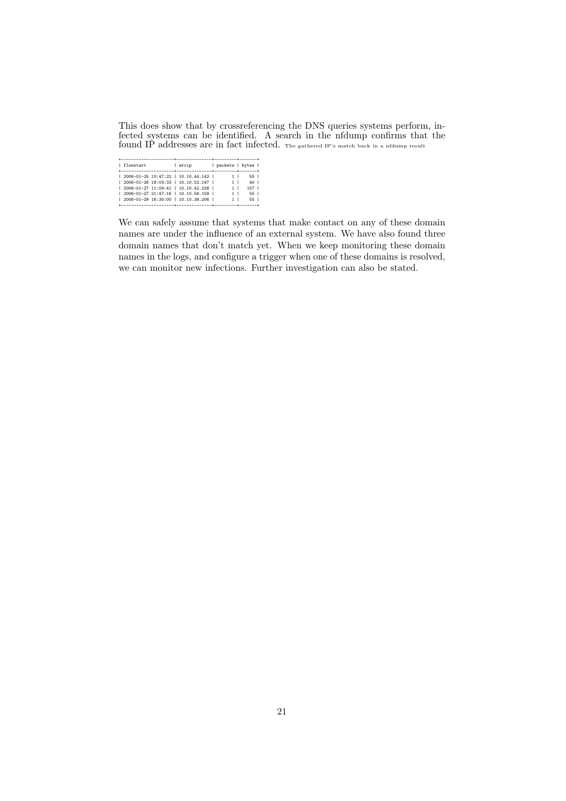This does show that by crossreferencing the DNS queries systems perform, infected systems can be identified. A search in the nfdump confirms that the found IP addresses are in fact infected. The gathered IP's match back in a nfdump result

| flowstart |  | srcip                                | packets   bytes |                 |  |
|-----------|--|--------------------------------------|-----------------|-----------------|--|
|           |  |                                      |                 |                 |  |
|           |  | 2006-01-25 10:47:22   10.10.44.142   | 1 <sub>1</sub>  | 55 L            |  |
|           |  | 2006-01-26 18:03:33   10.10.52.147   | 1 I             | 40 <sub>1</sub> |  |
|           |  | 2006-01-27 11:09:41   10.10.42.228   | 1               | 157             |  |
|           |  | 2006-01-27 21:47:16   10.10.58.159   | 1               | 55 L            |  |
|           |  | 2006-01-29 16:30:00   10.10.38.206   |                 | 55 l            |  |
|           |  | ------------------------------------ |                 |                 |  |

We can safely assume that systems that make contact on any of these domain names are under the influence of an external system. We have also found three domain names that don't match yet. When we keep monitoring these domain names in the logs, and configure a trigger when one of these domains is resolved, we can monitor new infections. Further investigation can also be stated.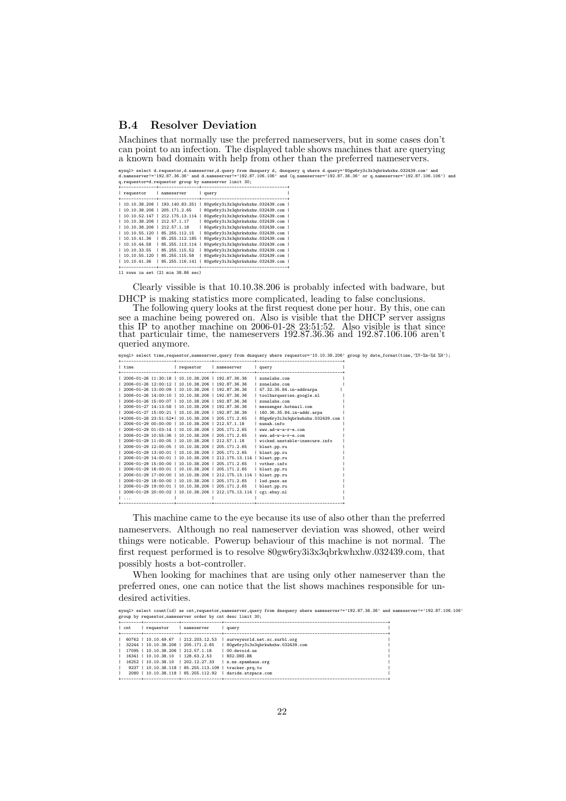#### B.4 Resolver Deviation

Machines that normally use the preferred nameservers, but in some cases don't can point to an infection. The displayed table shows machines that are querying a known bad domain with help from other than the preferred nameservers.

mysql> select d.requestor,d.nameserver,d.query from dnsquery d, dnsquery q where d.query\*'80gw6ry3i3x3qbrkwhxhw.032439.com' and<br>d.nameserver!='192.87.36.36' and d.nameserver!='192.87.106.106' and (q.nameserver='192.87.36.3

| ------------                  | ------- ----                  |                                  |  |
|-------------------------------|-------------------------------|----------------------------------|--|
| requestor                     | nameserver                    | query<br>------------------      |  |
|                               |                               |                                  |  |
| 10.10.38.206   193.140.83.251 |                               | 80gw6ry3i3x3qbrkwhxhw.032439.com |  |
| 10.10.38.206   205.171.2.65   |                               | 80gw6ry3i3x3qbrkwhxhw.032439.com |  |
|                               | 10.10.52.147   212.175.13.114 | 80gw6ry3i3x3qbrkwhxhw.032439.com |  |
| 10.10.38.206   212.57.1.17    |                               | 80gw6ry3i3x3qbrkwhxhw.032439.com |  |
| 10.10.38.206   212.57.1.18    |                               | 80gw6ry3i3x3qbrkwhxhw.032439.com |  |
| 10.10.55.120                  | 85.255.112.15                 | 80gw6ry3i3x3qbrkwhxhw.032439.com |  |
| 10.10.41.36                   | 85.255.112.185                | 80gw6ry3i3x3qbrkwhxhw.032439.com |  |
| 10.10.44.58                   | 85.255.113.114                | 80gw6ry3i3x3qbrkwhxhw.032439.com |  |
| 10.10.33.55                   | 85.255.115.52                 | 80gw6ry3i3x3qbrkwhxhw.032439.com |  |
| 10.10.55.120                  | 85.255.115.58                 | 80gw6ry3i3x3qbrkwhxhw.032439.com |  |
| 10.10.41.36                   | 85.255.116.141                | 80gw6ry3i3x3qbrkwhxhw.032439.com |  |
|                               |                               |                                  |  |

+--------------+----------------+----------------------------------+ 11 rows in set (21 min 38.86 sec)

Clearly vissible is that 10.10.38.206 is probably infected with badware, but DHCP is making statistics more complicated, leading to false conclusions.

The following query looks at the first request done per hour. By this, one can see a machine being powered on. Also is visible that the DHCP server assigns this IP to another machine on 2006-01-28 23:51:52. Also visible is that since that particulair time, the nameservers 192.87.36.36 and 192.87.106.106 aren't queried anymore.

mysql> select time,requestor,nameserver,query from dnsquery where requestor='10.10.38.206' group by date\_format(time,'%Y-%m-%d %H'); +---------------------+--------------+----------------+----------------------------------+

| l time                                                                  | requestor | nameserver | query                            |  |
|-------------------------------------------------------------------------|-----------|------------|----------------------------------|--|
| 1 2006-01-26 11:30:18 1 10.10.38.206 1 192.87.36.36                     |           |            | $ $ zonelabs.com                 |  |
| 2006-01-26 12:00:12   10.10.38.206   192.87.36.36                       |           |            | $x$ onelabs.com                  |  |
| 1 2006-01-26 13:00:09 1 10.10.38.206 1 192.87.36.36                     |           |            | 47.32.35.84.in-addrarpa          |  |
| 2006-01-26 14:00:10   10.10.38.206   192.87.36.36                       |           |            | toolbarqueries.google.nl         |  |
| 2006-01-26 15:00:07   10.10.38.206   192.87.36.36                       |           |            | zonelabs.com                     |  |
| 2006-01-27 14:13:58   10.10.38.206   192.87.36.36                       |           |            | messenger.hotmail.com            |  |
| 1 2006-01-27 15:00:21 1 10.10.38.206 1 192.87.36.36                     |           |            | 160.36.35.84.in-addr.arpa        |  |
| *2006-01-28 23:51:52*  10.10.38.206   205.171.2.65                      |           |            | 80gw6ry3i3x3qbrkwhxhw.032439.com |  |
| 1 2006-01-29 00:00:00 1 10.10.38.206 1 212.57.1.18                      |           |            | nunah.info                       |  |
| $1, 2006 - 01 - 29, 01:03:14$ $1, 10, 10, 38, 206$ $1, 205, 171, 2, 65$ |           |            | www.ad-w-a-r-e.com               |  |
| 1 2006-01-29 10:55:36 1 10.10.38.206 1 205.171.2.65                     |           |            | $ww. ad-w-a-r-a.com$             |  |
| 1 2006-01-29 11:00:05 1 10.10.38.206 1 212.57.1.18                      |           |            | wicked.unstable-insecure.info    |  |
| $1, 2006 - 01 - 29, 12:00:05$ $1, 10, 10, 38, 206$ $1, 205, 171, 2, 65$ |           |            | blast.pp.ru                      |  |
| 2006-01-29 13:00:01   10.10.38.206   205.171.2.65                       |           |            | blast.pp.ru                      |  |
| $12006 - 01 - 2914:00:01$   10.10.38.206   212.175.13.114               |           |            | blast.pp.ru                      |  |
| 2006-01-29 15:00:00   10.10.38.206   205.171.2.65                       |           |            | vother.info                      |  |
| 2006-01-29 16:00:01   10.10.38.206   205.171.2.65                       |           |            | blast.pp.ru                      |  |
| 1 2006-01-29 17:00:00 1 10.10.38.206 1 212.175.13.114                   |           |            | blast.pp.ru                      |  |
| 2006-01-29 18:00:00   10.10.38.206   205.171.2.65                       |           |            | lud.pass.as                      |  |
| 2006-01-29 19:00:01   10.10.38.206   205.171.2.65                       |           |            | blast.pp.ru                      |  |
| 2006-01-29 20:00:02   10.10.38.206   212.175.13.114                     |           |            | cgi.ebay.nl                      |  |
|                                                                         |           |            |                                  |  |
|                                                                         |           |            |                                  |  |

This machine came to the eye because its use of also other than the preferred nameservers. Although no real nameserver deviation was showed, other weird things were noticable. Powerup behaviour of this machine is not normal. The first request performed is to resolve 80gw6ry3i3x3qbrkwhxhw.032439.com, that possibly hosts a bot-controller.

When looking for machines that are using only other nameserver than the preferred ones, one can notice that the list shows machines responsible for undesired activities.

```
mysql> select count(id) as cnt,requestor,nameserver,query from dnsquery where nameserver!='192.87.36.36' and nameserver!='192.87.106.106'<br>group by requestor,nameserver order by cnt desc limit 30;<br>+--------+--------------+-
| cnt | requestor | nameserver | query |
+--------+--------------+----------------+-----------------------------------------------------------------+
| 60762 | 10.10.49.67 | 212.203.12.53 | surveyworld.net.sc.surbl.org |
| 32244 | 10.10.38.206 | 205.171.2.65 | 80gw6ry3i3x3qbrkwhxhw.032439.com |
| 17095 | 10.10.38.206 | 212.57.1.18 | 00.devoid.us |
| 16341 | 10.10.38.10 | 128.63.2.53 | NS2.DNS.BR<br>| 16252 | 10.10.38.10 | 202.12.27.33 | n.ns.spamhaus.org<br>| 9237 | 10.10.38.118 | 85.255.113.109 | tracker.prq.to<br>| 2080 | 10.10.38.118 | 85.255.112.92 | davide.atspace.com |
+--------+--------------+----------------+-----------------------------------------------------------------+
```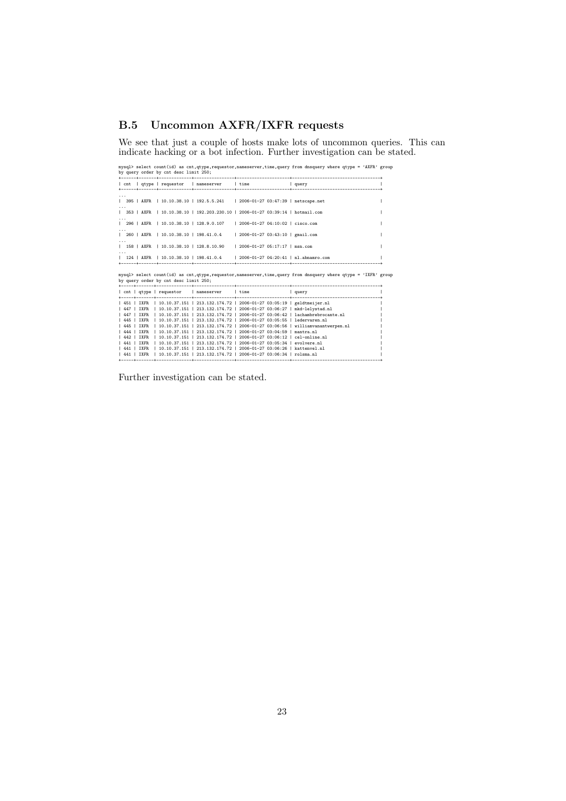# B.5 Uncommon AXFR/IXFR requests

We see that just a couple of hosts make lots of uncommon queries. This can indicate hacking or a bot infection. Further investigation can be stated.

| mysql> select count(id) as cnt, qtype, requestor, nameserver, time, query from dnsquery where qtype = 'AXFR' group<br>by query order by cnt desc limit 250;                                                                                                                                                                                                                                                                                                                                                                                                                                                                                                                                                                                                                                                                                                                                    |  |
|------------------------------------------------------------------------------------------------------------------------------------------------------------------------------------------------------------------------------------------------------------------------------------------------------------------------------------------------------------------------------------------------------------------------------------------------------------------------------------------------------------------------------------------------------------------------------------------------------------------------------------------------------------------------------------------------------------------------------------------------------------------------------------------------------------------------------------------------------------------------------------------------|--|
| cnt   qtype   requestor   nameserver   time<br>  query                                                                                                                                                                                                                                                                                                                                                                                                                                                                                                                                                                                                                                                                                                                                                                                                                                         |  |
| $\cdots$<br>  395   AXFR   10.10.38.10   192.5.5.241   2006-01-27 03:47:39   netscape.net<br>$\cdots$                                                                                                                                                                                                                                                                                                                                                                                                                                                                                                                                                                                                                                                                                                                                                                                          |  |
| 353   AXFR   10.10.38.10   192.203.230.10   2006-01-27 03:39:14   hotmail.com                                                                                                                                                                                                                                                                                                                                                                                                                                                                                                                                                                                                                                                                                                                                                                                                                  |  |
| 296   AXFR   10.10.38.10   128.9.0.107   2006-01-27 04:10:02   cisco.com                                                                                                                                                                                                                                                                                                                                                                                                                                                                                                                                                                                                                                                                                                                                                                                                                       |  |
| 260   AXFR   10.10.38.10   198.41.0.4<br>  2006-01-27 03:43:10   gmail.com                                                                                                                                                                                                                                                                                                                                                                                                                                                                                                                                                                                                                                                                                                                                                                                                                     |  |
| 158   AXFR   10.10.38.10   128.8.10.90<br>  2006-01-27 05:17:17   msn.com                                                                                                                                                                                                                                                                                                                                                                                                                                                                                                                                                                                                                                                                                                                                                                                                                      |  |
| 124   AXFR   10.10.38.10   198.41.0.4   2006-01-27 04:20:41   nl.abnamro.com                                                                                                                                                                                                                                                                                                                                                                                                                                                                                                                                                                                                                                                                                                                                                                                                                   |  |
| mysql> select count(id) as cnt, qtype, requestor, nameserver, time, query from dnsquery where qtype = 'IXFR' group<br>by query order by cnt desc limit 250;                                                                                                                                                                                                                                                                                                                                                                                                                                                                                                                                                                                                                                                                                                                                    |  |
| cnt   qtype   requestor   nameserver   time   query                                                                                                                                                                                                                                                                                                                                                                                                                                                                                                                                                                                                                                                                                                                                                                                                                                            |  |
| 451   IXFR   10.10.37.151   213.132.174.72   2006-01-27 03:05:19   geldtmeijer.nl<br>  447   IXFR   10.10.37.151   213.132.174.72   2006-01-27 03:06:27   mkd-lelystad.nl<br>  447   IXFR   10.10.37.151   213.132.174.72   2006-01-27 03:06:42   lachambrebrocante.nl<br>  445   IXFR   10.10.37.151   213.132.174.72   2006-01-27 03:05:55   ledervaren.nl<br>  445   IXFR   10.10.37.151   213.132.174.72   2006-01-27 03:06:56   williamvanantwerpen.nl<br>  444   IXFR   10.10.37.151   213.132.174.72   2006-01-27 03:04:59   mantra.nl<br>  442   IXFR   10.10.37.151   213.132.174.72   2006-01-27 03:06:12   cel-online.nl<br>  441   IXFR   10.10.37.151   213.132.174.72   2006-01-27 03:05:34   evolvere.nl<br>  441   IXFR   10.10.37.151   213.132.174.72   2006-01-27 03:06:26   kattenvel.nl<br>  441   IXFR   10.10.37.151   213.132.174.72   2006-01-27 03:06:34   rolsma.nl |  |

Further investigation can be stated.